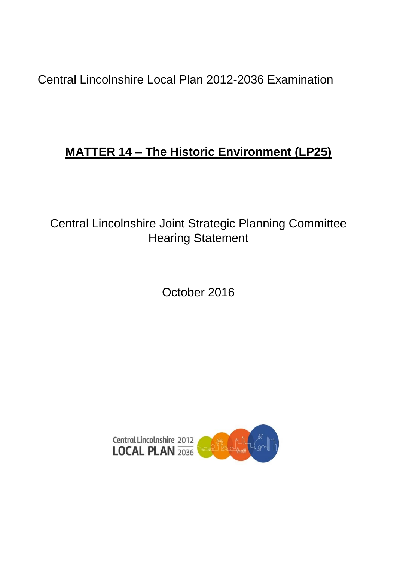Central Lincolnshire Local Plan 2012-2036 Examination

# **MATTER 14 – The Historic Environment (LP25)**

Central Lincolnshire Joint Strategic Planning Committee Hearing Statement

October 2016

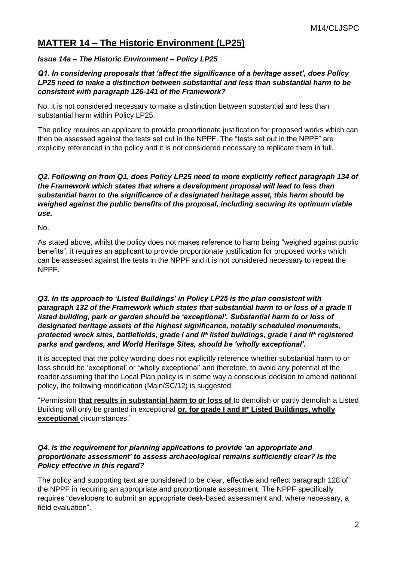# **MATTER 14 – The Historic Environment (LP25)**

## *Issue 14a – The Historic Environment – Policy LP25*

## *Q1. In considering proposals that 'affect the significance of a heritage asset', does Policy LP25 need to make a distinction between substantial and less than substantial harm to be consistent with paragraph 126-141 of the Framework?*

No, it is not considered necessary to make a distinction between substantial and less than substantial harm within Policy LP25.

The policy requires an applicant to provide proportionate justification for proposed works which can then be assessed against the tests set out in the NPPF. The "tests set out in the NPPF" are explicitly referenced in the policy and it is not considered necessary to replicate them in full.

#### *Q2. Following on from Q1, does Policy LP25 need to more explicitly reflect paragraph 134 of the Framework which states that where a development proposal will lead to less than substantial harm to the significance of a designated heritage asset, this harm should be weighed against the public benefits of the proposal, including securing its optimum viable use.*

No.

As stated above, whilst the policy does not makes reference to harm being "weighed against public benefits", it requires an applicant to provide proportionate justification for proposed works which can be assessed against the tests in the NPPF and it is not considered necessary to repeat the NPPF.

*Q3. In its approach to 'Listed Buildings' in Policy LP25 is the plan consistent with paragraph 132 of the Framework which states that substantial harm to or loss of a grade II listed building, park or garden should be 'exceptional'. Substantial harm to or loss of designated heritage assets of the highest significance, notably scheduled monuments, protected wreck sites, battlefields, grade I and II\* listed buildings, grade I and II\* registered parks and gardens, and World Heritage Sites, should be 'wholly exceptional'.*

It is accepted that the policy wording does not explicitly reference whether substantial harm to or loss should be 'exceptional' or 'wholly exceptional' and therefore, to avoid any potential of the reader assuming that the Local Plan policy is in some way a conscious decision to amend national policy, the following modification (Main/SC/12) is suggested:

"Permission **that results in substantial harm to or loss of** to demolish or partly demolish a Listed Building will only be granted in exceptional **or, for grade I and II\* Listed Buildings, wholly exceptional** circumstances."

#### *Q4. Is the requirement for planning applications to provide 'an appropriate and proportionate assessment' to assess archaeological remains sufficiently clear? Is the Policy effective in this regard?*

The policy and supporting text are considered to be clear, effective and reflect paragraph 128 of the NPPF in requiring an appropriate and proportionate assessment. The NPPF specifically requires "developers to submit an appropriate desk-based assessment and, where necessary, a field evaluation".